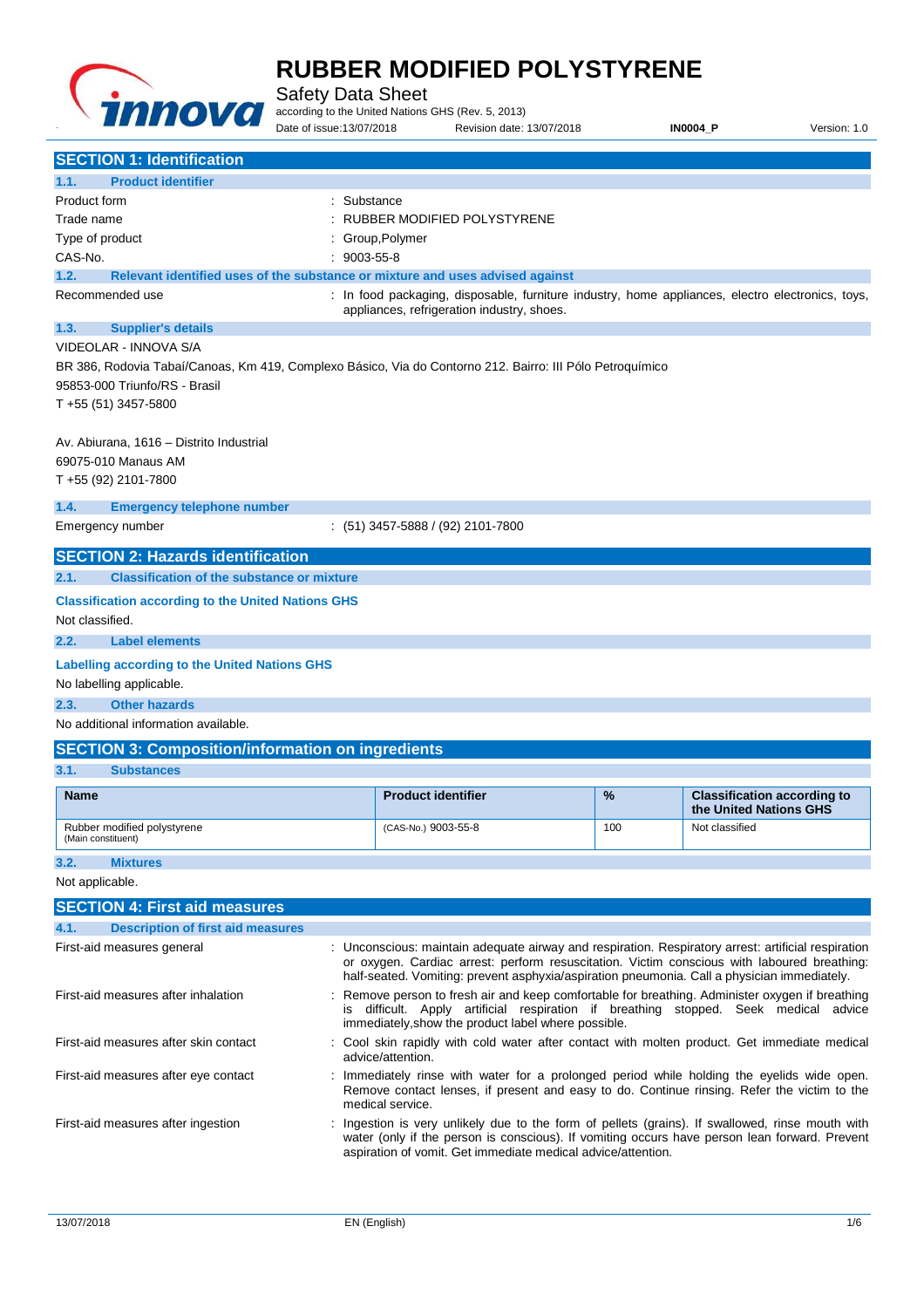

**RUBBER MODIFIED POLYSTYRENE**  Safety Data Sheet according to the United Nations GHS (Rev. 5, 2013) Date of issue:13/07/2018 Revision date: 13/07/2018 **IN0004\_P** Version: 1.0 **SECTION 1: Identification 1.1. Product identifier**  Product form **: Substance** Trade name : RUBBER MODIFIED POLYSTYRENE Type of product in the control of the control of the control of the control of the control of the control of the control of the control of the control of the control of the control of the control of the control of the cont CAS-No. : 9003-55-8 **1.2. Relevant identified uses of the substance or mixture and uses advised against**  Recommended use **in the comment of the comment of the comment of the comment of the comment of the comment of the comment of the comment of the comment of the comment of the comment of the comment of the comment of the com** appliances, refrigeration industry, shoes. **1.3. Supplier's details**  VIDEOLAR - INNOVA S/A BR 386, Rodovia Tabaí/Canoas, Km 419, Complexo Básico, Via do Contorno 212. Bairro: III Pólo Petroquímico 95853-000 Triunfo/RS - Brasil T +55 (51) 3457-5800 Av. Abiurana, 1616 – Distrito Industrial 69075-010 Manaus AM T +55 (92) 2101-7800 **1.4. Emergency telephone number**  Emergency number : (51) 3457-5888 / (92) 2101-7800 **SECTION 2: Hazards identification 2.1. Classification of the substance or mixture Classification according to the United Nations GHS**  Not classified. **2.2. Label elements Labelling according to the United Nations GHS**  No labelling applicable. **2.3. Other hazards**  No additional information available. **SECTION 3: Composition/information on ingredients 3.1. Substances Name Product identifier 1989 12 and 2009 12 and 2009 12 and 2009 12 and 2009 12 and 2009 12 and 2009 12 and 2009 12 and 2009 12 and 2009 12 and 2009 12 and 2009 12 and 2009 12 and 2009 12 and 2009 12 and 2009 12 and 2 the United Nations GHS**  Rubber modified polystyrene (Main constituent) (CAS-No.) 9003-55-8 100 Not classified

**3.2. Mixtures**  Not applicable.

| <b>SECTION 4: First aid measures</b>             |                                                                                                                                                                                                                                                                                                   |  |  |
|--------------------------------------------------|---------------------------------------------------------------------------------------------------------------------------------------------------------------------------------------------------------------------------------------------------------------------------------------------------|--|--|
| <b>Description of first aid measures</b><br>4.1. |                                                                                                                                                                                                                                                                                                   |  |  |
| First-aid measures general                       | : Unconscious: maintain adequate airway and respiration. Respiratory arrest: artificial respiration<br>or oxygen. Cardiac arrest: perform resuscitation. Victim conscious with laboured breathing:<br>half-seated. Vomiting: prevent asphyxia/aspiration pneumonia. Call a physician immediately. |  |  |
| First-aid measures after inhalation              | : Remove person to fresh air and keep comfortable for breathing. Administer oxygen if breathing<br>is difficult. Apply artificial respiration if breathing stopped. Seek medical advice<br>immediately, show the product label where possible.                                                    |  |  |
| First-aid measures after skin contact            | : Cool skin rapidly with cold water after contact with molten product. Get immediate medical<br>advice/attention.                                                                                                                                                                                 |  |  |
| First-aid measures after eye contact             | : Immediately rinse with water for a prolonged period while holding the eyelids wide open.<br>Remove contact lenses, if present and easy to do. Continue rinsing. Refer the victim to the<br>medical service.                                                                                     |  |  |
| First-aid measures after ingestion               | : Ingestion is very unlikely due to the form of pellets (grains). If swallowed, rinse mouth with<br>water (only if the person is conscious). If vomiting occurs have person lean forward. Prevent<br>aspiration of vomit. Get immediate medical advice/attention.                                 |  |  |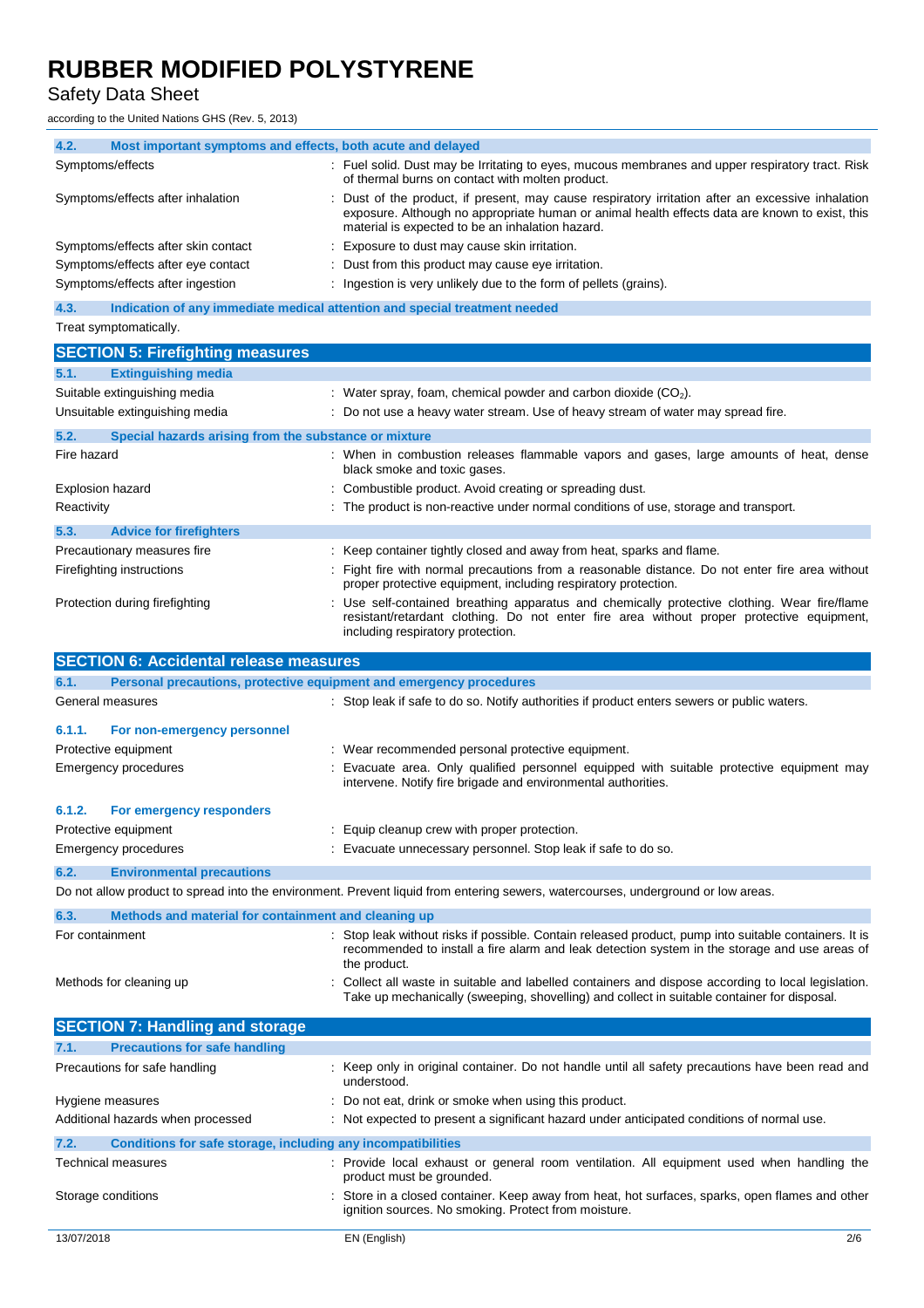### Safety Data Sheet

according to the United Nations GHS (Rev. 5, 2013)

| 4.2.                    | Most important symptoms and effects, both acute and delayed                    |                                                                                                                                                                                                                                                       |
|-------------------------|--------------------------------------------------------------------------------|-------------------------------------------------------------------------------------------------------------------------------------------------------------------------------------------------------------------------------------------------------|
|                         | Symptoms/effects                                                               | : Fuel solid. Dust may be Irritating to eyes, mucous membranes and upper respiratory tract. Risk<br>of thermal burns on contact with molten product.                                                                                                  |
|                         | Symptoms/effects after inhalation                                              | Dust of the product, if present, may cause respiratory irritation after an excessive inhalation<br>exposure. Although no appropriate human or animal health effects data are known to exist, this<br>material is expected to be an inhalation hazard. |
|                         | Symptoms/effects after skin contact                                            | Exposure to dust may cause skin irritation.                                                                                                                                                                                                           |
|                         | Symptoms/effects after eye contact                                             | Dust from this product may cause eye irritation.                                                                                                                                                                                                      |
|                         | Symptoms/effects after ingestion                                               | : Ingestion is very unlikely due to the form of pellets (grains).                                                                                                                                                                                     |
| 4.3.                    | Indication of any immediate medical attention and special treatment needed     |                                                                                                                                                                                                                                                       |
|                         | Treat symptomatically.                                                         |                                                                                                                                                                                                                                                       |
|                         | <b>SECTION 5: Firefighting measures</b>                                        |                                                                                                                                                                                                                                                       |
| 5.1.                    | <b>Extinguishing media</b>                                                     |                                                                                                                                                                                                                                                       |
|                         | Suitable extinguishing media                                                   | : Water spray, foam, chemical powder and carbon dioxide $(CO2)$ .                                                                                                                                                                                     |
|                         | Unsuitable extinguishing media                                                 | : Do not use a heavy water stream. Use of heavy stream of water may spread fire.                                                                                                                                                                      |
| 5.2.                    | Special hazards arising from the substance or mixture                          |                                                                                                                                                                                                                                                       |
| Fire hazard             |                                                                                | : When in combustion releases flammable vapors and gases, large amounts of heat, dense<br>black smoke and toxic gases.                                                                                                                                |
| <b>Explosion hazard</b> |                                                                                | Combustible product. Avoid creating or spreading dust.                                                                                                                                                                                                |
| Reactivity              |                                                                                | : The product is non-reactive under normal conditions of use, storage and transport.                                                                                                                                                                  |
| 5.3.                    | <b>Advice for firefighters</b>                                                 |                                                                                                                                                                                                                                                       |
|                         | Precautionary measures fire                                                    | : Keep container tightly closed and away from heat, sparks and flame.                                                                                                                                                                                 |
|                         | Firefighting instructions                                                      | Fight fire with normal precautions from a reasonable distance. Do not enter fire area without<br>proper protective equipment, including respiratory protection.                                                                                       |
|                         | Protection during firefighting                                                 | : Use self-contained breathing apparatus and chemically protective clothing. Wear fire/flame<br>resistant/retardant clothing. Do not enter fire area without proper protective equipment,<br>including respiratory protection.                        |
|                         | <b>SECTION 6: Accidental release measures</b>                                  |                                                                                                                                                                                                                                                       |
|                         |                                                                                |                                                                                                                                                                                                                                                       |
| 6.1.                    | Personal precautions, protective equipment and emergency procedures            |                                                                                                                                                                                                                                                       |
|                         | General measures                                                               | : Stop leak if safe to do so. Notify authorities if product enters sewers or public waters.                                                                                                                                                           |
| 6.1.1.                  | For non-emergency personnel                                                    |                                                                                                                                                                                                                                                       |
|                         | Protective equipment                                                           | Wear recommended personal protective equipment.                                                                                                                                                                                                       |
|                         | Emergency procedures                                                           | Evacuate area. Only qualified personnel equipped with suitable protective equipment may<br>intervene. Notify fire brigade and environmental authorities.                                                                                              |
| 6.1.2.                  | For emergency responders                                                       |                                                                                                                                                                                                                                                       |
|                         | Protective equipment                                                           | : Equip cleanup crew with proper protection.                                                                                                                                                                                                          |
|                         | Emergency procedures                                                           | Evacuate unnecessary personnel. Stop leak if safe to do so.                                                                                                                                                                                           |
| 6.2.                    | <b>Environmental precautions</b>                                               |                                                                                                                                                                                                                                                       |
|                         |                                                                                | Do not allow product to spread into the environment. Prevent liquid from entering sewers, watercourses, underground or low areas.                                                                                                                     |
| 6.3.                    | Methods and material for containment and cleaning up                           |                                                                                                                                                                                                                                                       |
| For containment         |                                                                                | Stop leak without risks if possible. Contain released product, pump into suitable containers. It is<br>recommended to install a fire alarm and leak detection system in the storage and use areas of                                                  |
|                         | Methods for cleaning up                                                        | the product.<br>Collect all waste in suitable and labelled containers and dispose according to local legislation.<br>Take up mechanically (sweeping, shovelling) and collect in suitable container for disposal.                                      |
|                         |                                                                                |                                                                                                                                                                                                                                                       |
| 7.1.                    | <b>SECTION 7: Handling and storage</b><br><b>Precautions for safe handling</b> |                                                                                                                                                                                                                                                       |
|                         | Precautions for safe handling                                                  | : Keep only in original container. Do not handle until all safety precautions have been read and<br>understood.                                                                                                                                       |
|                         | Hygiene measures                                                               | Do not eat, drink or smoke when using this product.                                                                                                                                                                                                   |
|                         | Additional hazards when processed                                              | : Not expected to present a significant hazard under anticipated conditions of normal use.                                                                                                                                                            |
| 7.2.                    | Conditions for safe storage, including any incompatibilities                   |                                                                                                                                                                                                                                                       |
|                         | Technical measures                                                             | Provide local exhaust or general room ventilation. All equipment used when handling the<br>product must be grounded.                                                                                                                                  |

ignition sources. No smoking. Protect from moisture.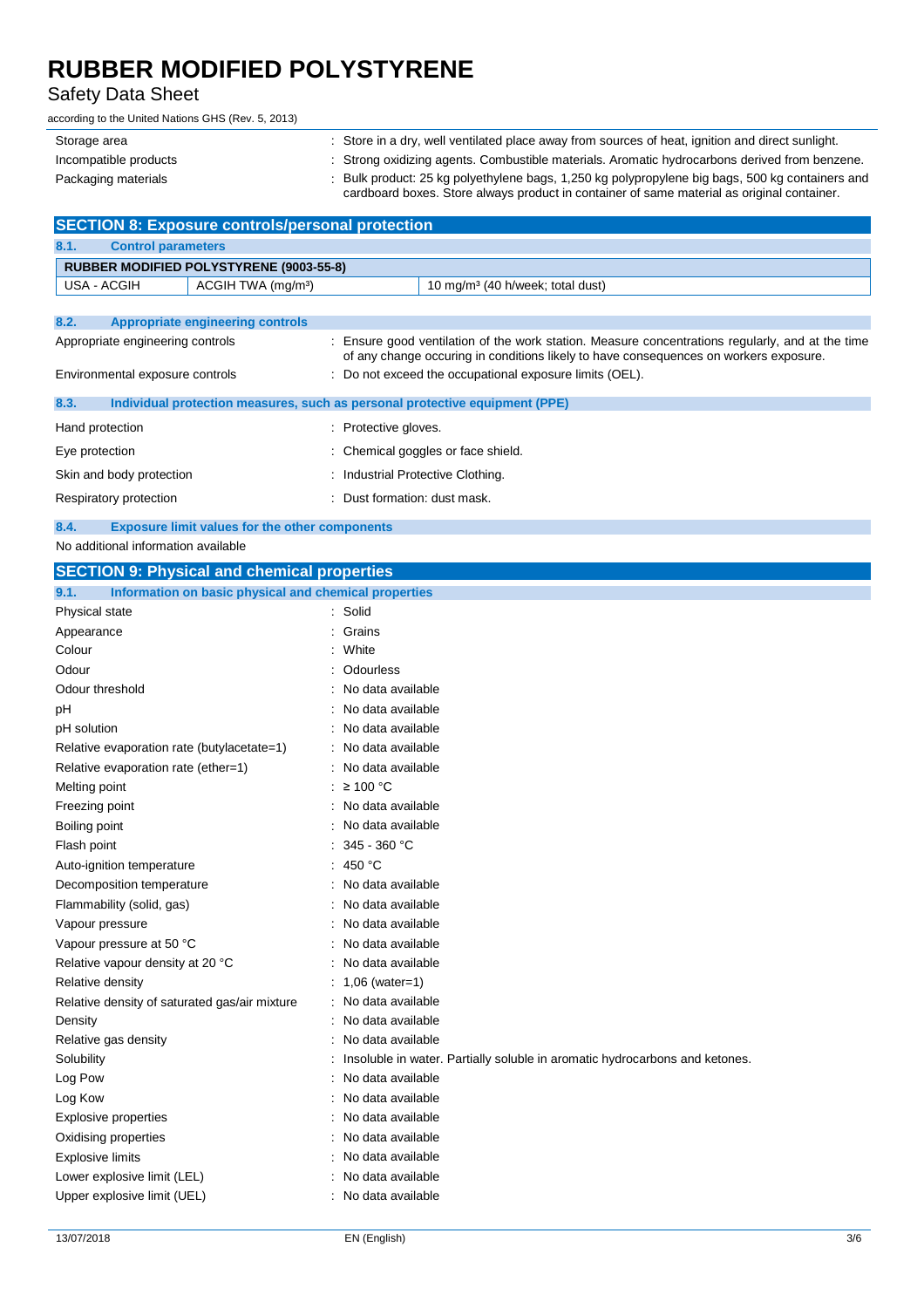### Safety Data Sheet

according to the United Nations GHS (Rev. 5, 2013)

| Storage area          | : Store in a dry, well ventilated place away from sources of heat, ignition and direct sunlight.                                                                                            |
|-----------------------|---------------------------------------------------------------------------------------------------------------------------------------------------------------------------------------------|
| Incompatible products | Strong oxidizing agents. Combustible materials. Aromatic hydrocarbons derived from benzene.                                                                                                 |
| Packaging materials   | Bulk product: 25 kg polyethylene bags, 1,250 kg polypropylene big bags, 500 kg containers and<br>cardboard boxes. Store always product in container of same material as original container. |

| <b>SECTION 8: Exposure controls/personal protection</b> |                                                |                              |                                                                                                                                                                                           |
|---------------------------------------------------------|------------------------------------------------|------------------------------|-------------------------------------------------------------------------------------------------------------------------------------------------------------------------------------------|
| 8.1.<br><b>Control parameters</b>                       |                                                |                              |                                                                                                                                                                                           |
|                                                         | <b>RUBBER MODIFIED POLYSTYRENE (9003-55-8)</b> |                              |                                                                                                                                                                                           |
| USA - ACGIH                                             | ACGIH TWA (mg/m <sup>3</sup> )                 |                              | 10 mg/m <sup>3</sup> (40 h/week; total dust)                                                                                                                                              |
|                                                         |                                                |                              |                                                                                                                                                                                           |
| 8.2.                                                    | <b>Appropriate engineering controls</b>        |                              |                                                                                                                                                                                           |
| Appropriate engineering controls                        |                                                |                              | : Ensure good ventilation of the work station. Measure concentrations regularly, and at the time<br>of any change occuring in conditions likely to have consequences on workers exposure. |
| Environmental exposure controls                         |                                                |                              | : Do not exceed the occupational exposure limits (OEL).                                                                                                                                   |
| 8.3.                                                    |                                                |                              | Individual protection measures, such as personal protective equipment (PPE)                                                                                                               |
| Hand protection                                         |                                                | : Protective gloves.         |                                                                                                                                                                                           |
| Eye protection                                          |                                                |                              | : Chemical goggles or face shield.                                                                                                                                                        |
| Skin and body protection                                |                                                |                              | : Industrial Protective Clothing.                                                                                                                                                         |
| Respiratory protection                                  |                                                | : Dust formation: dust mask. |                                                                                                                                                                                           |

#### **8.4. Exposure limit values for the other components**

No additional information available

| <b>SECTION 9: Physical and chemical properties</b>                          |  |  |  |
|-----------------------------------------------------------------------------|--|--|--|
| Information on basic physical and chemical properties<br>9.1.               |  |  |  |
| : Solid                                                                     |  |  |  |
| Grains                                                                      |  |  |  |
| White                                                                       |  |  |  |
| Odourless                                                                   |  |  |  |
| No data available                                                           |  |  |  |
| No data available                                                           |  |  |  |
| No data available                                                           |  |  |  |
| No data available                                                           |  |  |  |
| No data available                                                           |  |  |  |
| ≥ 100 °C                                                                    |  |  |  |
| No data available                                                           |  |  |  |
| No data available                                                           |  |  |  |
| 345 - 360 °C                                                                |  |  |  |
| 450 °C                                                                      |  |  |  |
| No data available                                                           |  |  |  |
| No data available                                                           |  |  |  |
| No data available                                                           |  |  |  |
| No data available                                                           |  |  |  |
| No data available                                                           |  |  |  |
| $1,06$ (water=1)                                                            |  |  |  |
| No data available                                                           |  |  |  |
| No data available                                                           |  |  |  |
| No data available                                                           |  |  |  |
| Insoluble in water. Partially soluble in aromatic hydrocarbons and ketones. |  |  |  |
| No data available                                                           |  |  |  |
| No data available                                                           |  |  |  |
| No data available                                                           |  |  |  |
| No data available                                                           |  |  |  |
| No data available                                                           |  |  |  |
| No data available                                                           |  |  |  |
| No data available                                                           |  |  |  |
|                                                                             |  |  |  |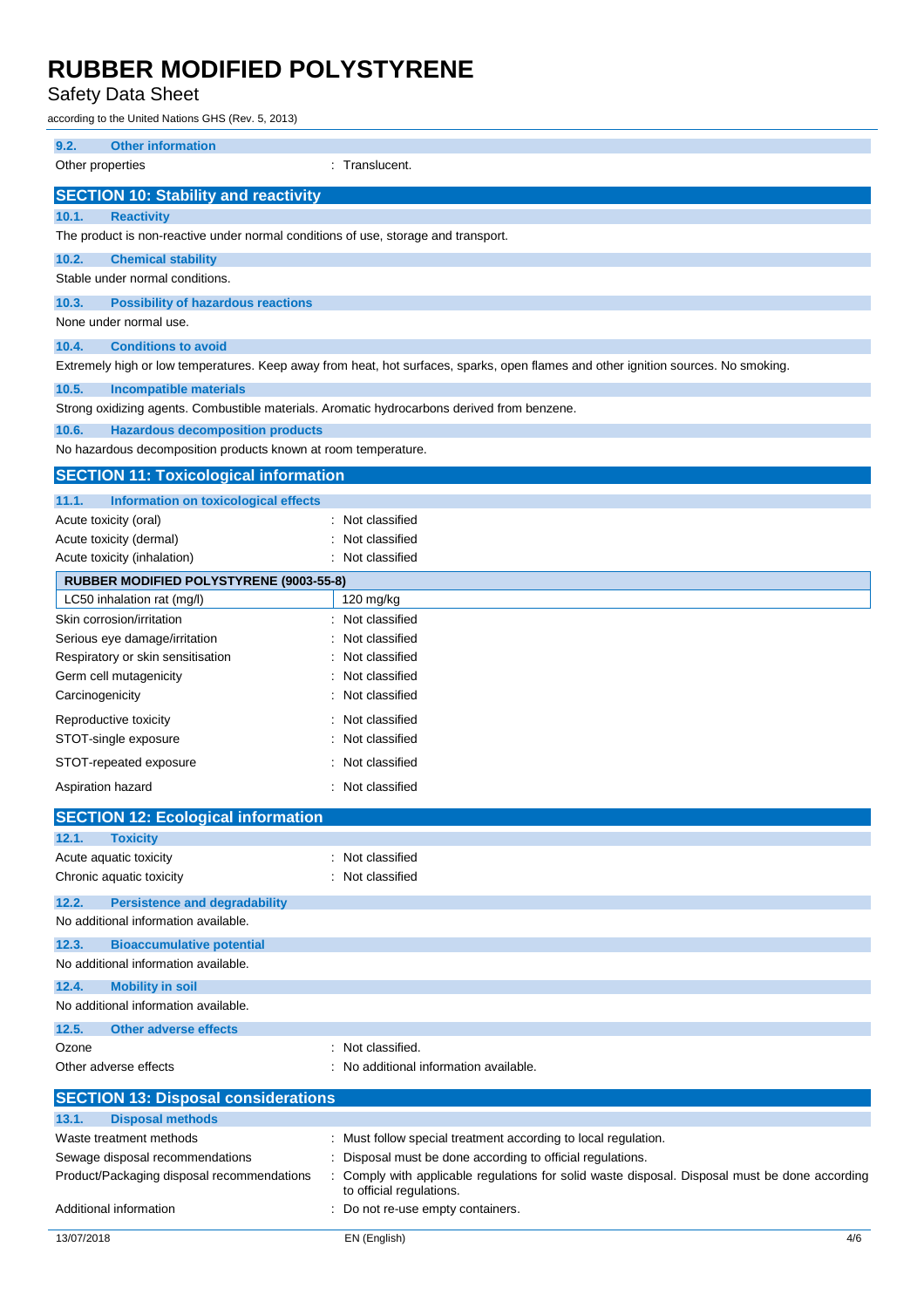### Safety Data Sheet

according to the United Nations GHS (Rev. 5, 2013)

| columny to the United Nations Of IO (Kev. 3, 2013)                                          |                                                                                                                                    |  |  |
|---------------------------------------------------------------------------------------------|------------------------------------------------------------------------------------------------------------------------------------|--|--|
| 9.2.<br><b>Other information</b>                                                            |                                                                                                                                    |  |  |
| Other properties                                                                            | : Translucent.                                                                                                                     |  |  |
|                                                                                             |                                                                                                                                    |  |  |
| <b>SECTION 10: Stability and reactivity</b>                                                 |                                                                                                                                    |  |  |
| 10.1.<br><b>Reactivity</b>                                                                  |                                                                                                                                    |  |  |
| The product is non-reactive under normal conditions of use, storage and transport.          |                                                                                                                                    |  |  |
|                                                                                             |                                                                                                                                    |  |  |
| 10.2.<br><b>Chemical stability</b>                                                          |                                                                                                                                    |  |  |
| Stable under normal conditions.                                                             |                                                                                                                                    |  |  |
| 10.3.<br><b>Possibility of hazardous reactions</b>                                          |                                                                                                                                    |  |  |
| None under normal use.                                                                      |                                                                                                                                    |  |  |
| 10.4.<br><b>Conditions to avoid</b>                                                         |                                                                                                                                    |  |  |
|                                                                                             |                                                                                                                                    |  |  |
|                                                                                             | Extremely high or low temperatures. Keep away from heat, hot surfaces, sparks, open flames and other ignition sources. No smoking. |  |  |
| 10.5.<br><b>Incompatible materials</b>                                                      |                                                                                                                                    |  |  |
| Strong oxidizing agents. Combustible materials. Aromatic hydrocarbons derived from benzene. |                                                                                                                                    |  |  |
| 10.6.<br><b>Hazardous decomposition products</b>                                            |                                                                                                                                    |  |  |
| No hazardous decomposition products known at room temperature.                              |                                                                                                                                    |  |  |
|                                                                                             |                                                                                                                                    |  |  |
| <b>SECTION 11: Toxicological information</b>                                                |                                                                                                                                    |  |  |
| 11.1.<br><b>Information on toxicological effects</b>                                        |                                                                                                                                    |  |  |
| Acute toxicity (oral)                                                                       | Not classified                                                                                                                     |  |  |
| Acute toxicity (dermal)                                                                     | Not classified                                                                                                                     |  |  |
| Acute toxicity (inhalation)                                                                 | : Not classified                                                                                                                   |  |  |
| RUBBER MODIFIED POLYSTYRENE (9003-55-8)                                                     |                                                                                                                                    |  |  |
| LC50 inhalation rat (mg/l)                                                                  | 120 mg/kg                                                                                                                          |  |  |
| Skin corrosion/irritation                                                                   | : Not classified                                                                                                                   |  |  |
|                                                                                             |                                                                                                                                    |  |  |
| Serious eye damage/irritation                                                               | Not classified                                                                                                                     |  |  |
| Respiratory or skin sensitisation                                                           | Not classified                                                                                                                     |  |  |
| Germ cell mutagenicity                                                                      | Not classified                                                                                                                     |  |  |
| Carcinogenicity                                                                             | Not classified                                                                                                                     |  |  |
| Reproductive toxicity                                                                       | Not classified                                                                                                                     |  |  |
| STOT-single exposure                                                                        | Not classified                                                                                                                     |  |  |
| STOT-repeated exposure                                                                      | Not classified                                                                                                                     |  |  |
|                                                                                             |                                                                                                                                    |  |  |
| Aspiration hazard                                                                           | : Not classified                                                                                                                   |  |  |
| <b>SECTION 12: Ecological information</b>                                                   |                                                                                                                                    |  |  |
|                                                                                             |                                                                                                                                    |  |  |
| 12.1.<br><b>Toxicity</b>                                                                    |                                                                                                                                    |  |  |
| Acute aquatic toxicity                                                                      | : Not classified                                                                                                                   |  |  |
| Chronic aquatic toxicity                                                                    | : Not classified                                                                                                                   |  |  |
| 12.2.<br><b>Persistence and degradability</b>                                               |                                                                                                                                    |  |  |
| No additional information available.                                                        |                                                                                                                                    |  |  |
| 12.3.<br><b>Bioaccumulative potential</b>                                                   |                                                                                                                                    |  |  |
| No additional information available.                                                        |                                                                                                                                    |  |  |
|                                                                                             |                                                                                                                                    |  |  |
| 12.4.<br><b>Mobility in soil</b>                                                            |                                                                                                                                    |  |  |
| No additional information available.                                                        |                                                                                                                                    |  |  |
| 12.5.<br><b>Other adverse effects</b>                                                       |                                                                                                                                    |  |  |
| Ozone                                                                                       | : Not classified.                                                                                                                  |  |  |
| Other adverse effects                                                                       | : No additional information available.                                                                                             |  |  |
|                                                                                             |                                                                                                                                    |  |  |
| <b>SECTION 13: Disposal considerations</b>                                                  |                                                                                                                                    |  |  |
| <b>Disposal methods</b><br>13.1.                                                            |                                                                                                                                    |  |  |
| Waste treatment methods                                                                     | : Must follow special treatment according to local regulation.                                                                     |  |  |
| Sewage disposal recommendations                                                             | Disposal must be done according to official regulations.                                                                           |  |  |
| Product/Packaging disposal recommendations                                                  | Comply with applicable regulations for solid waste disposal. Disposal must be done according                                       |  |  |
|                                                                                             | to official regulations.                                                                                                           |  |  |
| Additional information                                                                      | Do not re-use empty containers.                                                                                                    |  |  |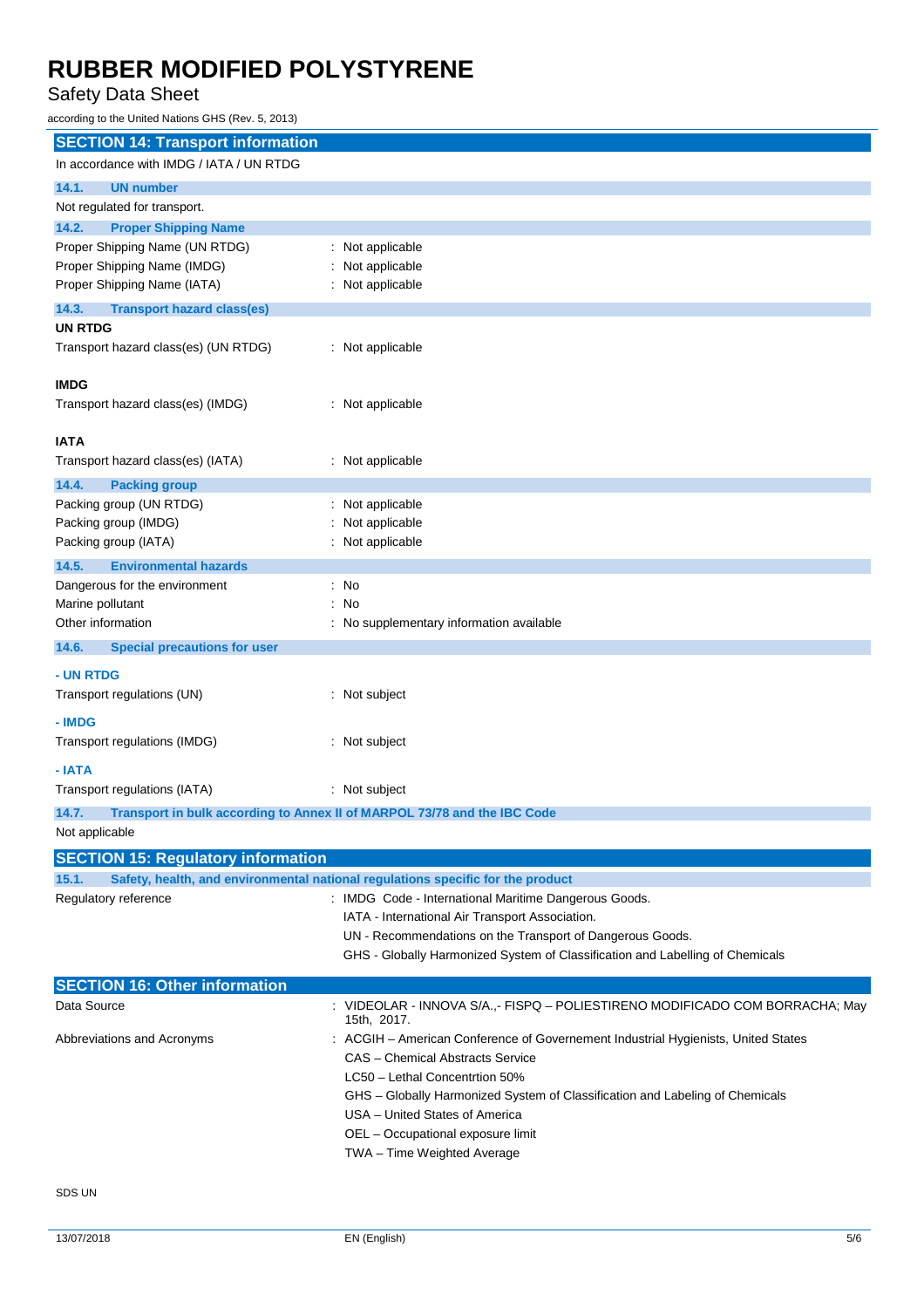### Safety Data Sheet

according to the United Nations GHS (Rev. 5, 2013)

| <b>SECTION 14: Transport information</b>                               |                                                                                           |  |  |
|------------------------------------------------------------------------|-------------------------------------------------------------------------------------------|--|--|
| In accordance with IMDG / IATA / UN RTDG                               |                                                                                           |  |  |
| 14.1.<br><b>UN number</b>                                              |                                                                                           |  |  |
| Not regulated for transport.                                           |                                                                                           |  |  |
| 14.2.<br><b>Proper Shipping Name</b>                                   |                                                                                           |  |  |
| Proper Shipping Name (UN RTDG)                                         | : Not applicable                                                                          |  |  |
| Proper Shipping Name (IMDG)                                            | Not applicable                                                                            |  |  |
| Proper Shipping Name (IATA)                                            | : Not applicable                                                                          |  |  |
| 14.3.<br><b>Transport hazard class(es)</b>                             |                                                                                           |  |  |
| <b>UN RTDG</b>                                                         |                                                                                           |  |  |
| Transport hazard class(es) (UN RTDG)                                   | : Not applicable                                                                          |  |  |
| <b>IMDG</b>                                                            |                                                                                           |  |  |
| Transport hazard class(es) (IMDG)                                      | : Not applicable                                                                          |  |  |
|                                                                        |                                                                                           |  |  |
| <b>IATA</b>                                                            |                                                                                           |  |  |
| Transport hazard class(es) (IATA)                                      | : Not applicable                                                                          |  |  |
| 14.4.<br><b>Packing group</b>                                          |                                                                                           |  |  |
| Packing group (UN RTDG)                                                | : Not applicable                                                                          |  |  |
| Packing group (IMDG)                                                   | : Not applicable                                                                          |  |  |
| Packing group (IATA)                                                   | : Not applicable                                                                          |  |  |
| 14.5.<br><b>Environmental hazards</b><br>Dangerous for the environment | $:$ No                                                                                    |  |  |
| Marine pollutant                                                       | : No                                                                                      |  |  |
| Other information                                                      | : No supplementary information available                                                  |  |  |
| 14.6.<br><b>Special precautions for user</b>                           |                                                                                           |  |  |
|                                                                        |                                                                                           |  |  |
| - UN RTDG                                                              |                                                                                           |  |  |
| Transport regulations (UN)                                             | : Not subject                                                                             |  |  |
| - IMDG                                                                 |                                                                                           |  |  |
| Transport regulations (IMDG)                                           | : Not subject                                                                             |  |  |
| - IATA                                                                 |                                                                                           |  |  |
| Transport regulations (IATA)                                           | : Not subject                                                                             |  |  |
| 14.7.                                                                  | Transport in bulk according to Annex II of MARPOL 73/78 and the IBC Code                  |  |  |
| Not applicable                                                         |                                                                                           |  |  |
| <b>SECTION 15: Regulatory information</b>                              |                                                                                           |  |  |
| 15.1.                                                                  | Safety, health, and environmental national regulations specific for the product           |  |  |
| Regulatory reference                                                   | : IMDG Code - International Maritime Dangerous Goods.                                     |  |  |
|                                                                        | IATA - International Air Transport Association.                                           |  |  |
|                                                                        | UN - Recommendations on the Transport of Dangerous Goods.                                 |  |  |
|                                                                        | GHS - Globally Harmonized System of Classification and Labelling of Chemicals             |  |  |
| <b>SECTION 16: Other information</b>                                   |                                                                                           |  |  |
| Data Source                                                            | VIDEOLAR - INNOVA S/A.,- FISPQ - POLIESTIRENO MODIFICADO COM BORRACHA; May<br>15th, 2017. |  |  |
| Abbreviations and Acronyms                                             | : ACGIH – American Conference of Governement Industrial Hygienists, United States         |  |  |
|                                                                        | CAS - Chemical Abstracts Service                                                          |  |  |
|                                                                        | LC50 - Lethal Concentrtion 50%                                                            |  |  |
|                                                                        | GHS – Globally Harmonized System of Classification and Labeling of Chemicals              |  |  |
|                                                                        | USA - United States of America                                                            |  |  |
|                                                                        | OEL - Occupational exposure limit                                                         |  |  |
|                                                                        | TWA - Time Weighted Average                                                               |  |  |
|                                                                        |                                                                                           |  |  |

SDS UN